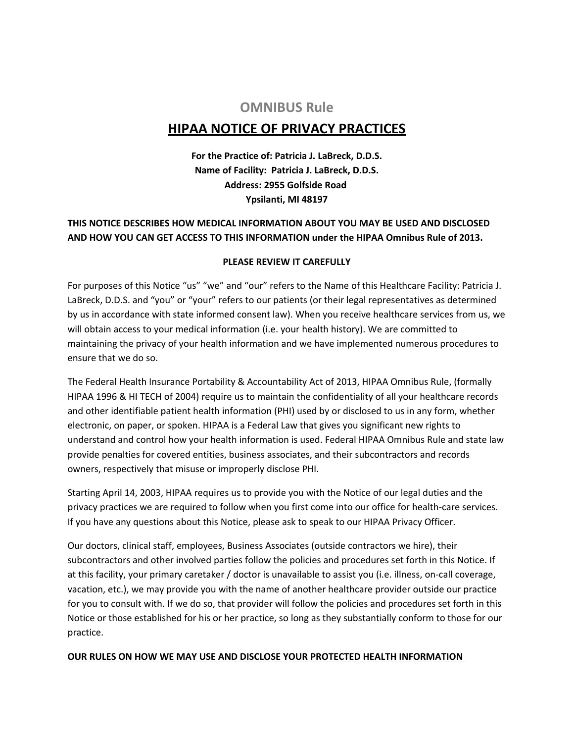## **OMNIBUS Rule**

# **HIPAA NOTICE OF PRIVACY PRACTICES**

**For the Practice of: Patricia J. LaBreck, D.D.S. Name of Facility: Patricia J. LaBreck, D.D.S. Address: 2955 Golfside Road Ypsilanti, MI 48197**

### **THIS NOTICE DESCRIBES HOW MEDICAL INFORMATION ABOUT YOU MAY BE USED AND DISCLOSED AND HOW YOU CAN GET ACCESS TO THIS INFORMATION under the HIPAA Omnibus Rule of 2013.**

### **PLEASE REVIEW IT CAREFULLY**

For purposes of this Notice "us" "we" and "our" refers to the Name of this Healthcare Facility: Patricia J. LaBreck, D.D.S. and "you" or "your" refers to our patients (or their legal representatives as determined by us in accordance with state informed consent law). When you receive healthcare services from us, we will obtain access to your medical information (i.e. your health history). We are committed to maintaining the privacy of your health information and we have implemented numerous procedures to ensure that we do so.

The Federal Health Insurance Portability & Accountability Act of 2013, HIPAA Omnibus Rule, (formally HIPAA 1996 & HI TECH of 2004) require us to maintain the confidentiality of all your healthcare records and other identifiable patient health information (PHI) used by or disclosed to us in any form, whether electronic, on paper, or spoken. HIPAA is a Federal Law that gives you significant new rights to understand and control how your health information is used. Federal HIPAA Omnibus Rule and state law provide penalties for covered entities, business associates, and their subcontractors and records owners, respectively that misuse or improperly disclose PHI.

Starting April 14, 2003, HIPAA requires us to provide you with the Notice of our legal duties and the privacy practices we are required to follow when you first come into our office for health-care services. If you have any questions about this Notice, please ask to speak to our HIPAA Privacy Officer.

Our doctors, clinical staff, employees, Business Associates (outside contractors we hire), their subcontractors and other involved parties follow the policies and procedures set forth in this Notice. If at this facility, your primary caretaker / doctor is unavailable to assist you (i.e. illness, on-call coverage, vacation, etc.), we may provide you with the name of another healthcare provider outside our practice for you to consult with. If we do so, that provider will follow the policies and procedures set forth in this Notice or those established for his or her practice, so long as they substantially conform to those for our practice.

### **OUR RULES ON HOW WE MAY USE AND DISCLOSE YOUR PROTECTED HEALTH INFORMATION**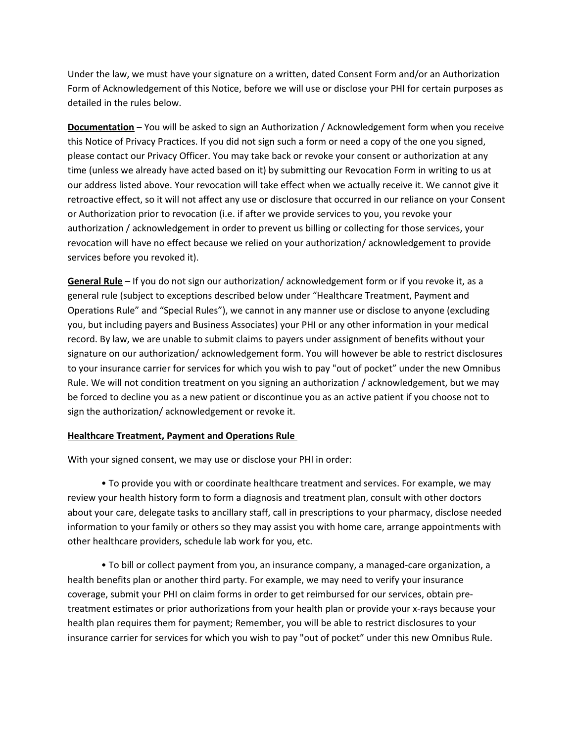Under the law, we must have your signature on a written, dated Consent Form and/or an Authorization Form of Acknowledgement of this Notice, before we will use or disclose your PHI for certain purposes as detailed in the rules below.

**Documentation** – You will be asked to sign an Authorization / Acknowledgement form when you receive this Notice of Privacy Practices. If you did not sign such a form or need a copy of the one you signed, please contact our Privacy Officer. You may take back or revoke your consent or authorization at any time (unless we already have acted based on it) by submitting our Revocation Form in writing to us at our address listed above. Your revocation will take effect when we actually receive it. We cannot give it retroactive effect, so it will not affect any use or disclosure that occurred in our reliance on your Consent or Authorization prior to revocation (i.e. if after we provide services to you, you revoke your authorization / acknowledgement in order to prevent us billing or collecting for those services, your revocation will have no effect because we relied on your authorization/ acknowledgement to provide services before you revoked it).

**General Rule** – If you do not sign our authorization/ acknowledgement form or if you revoke it, as a general rule (subject to exceptions described below under "Healthcare Treatment, Payment and Operations Rule" and "Special Rules"), we cannot in any manner use or disclose to anyone (excluding you, but including payers and Business Associates) your PHI or any other information in your medical record. By law, we are unable to submit claims to payers under assignment of benefits without your signature on our authorization/ acknowledgement form. You will however be able to restrict disclosures to your insurance carrier for services for which you wish to pay "out of pocket" under the new Omnibus Rule. We will not condition treatment on you signing an authorization / acknowledgement, but we may be forced to decline you as a new patient or discontinue you as an active patient if you choose not to sign the authorization/ acknowledgement or revoke it.

### **Healthcare Treatment, Payment and Operations Rule**

With your signed consent, we may use or disclose your PHI in order:

• To provide you with or coordinate healthcare treatment and services. For example, we may review your health history form to form a diagnosis and treatment plan, consult with other doctors about your care, delegate tasks to ancillary staff, call in prescriptions to your pharmacy, disclose needed information to your family or others so they may assist you with home care, arrange appointments with other healthcare providers, schedule lab work for you, etc.

• To bill or collect payment from you, an insurance company, a managed-care organization, a health benefits plan or another third party. For example, we may need to verify your insurance coverage, submit your PHI on claim forms in order to get reimbursed for our services, obtain pretreatment estimates or prior authorizations from your health plan or provide your x-rays because your health plan requires them for payment; Remember, you will be able to restrict disclosures to your insurance carrier for services for which you wish to pay "out of pocket" under this new Omnibus Rule.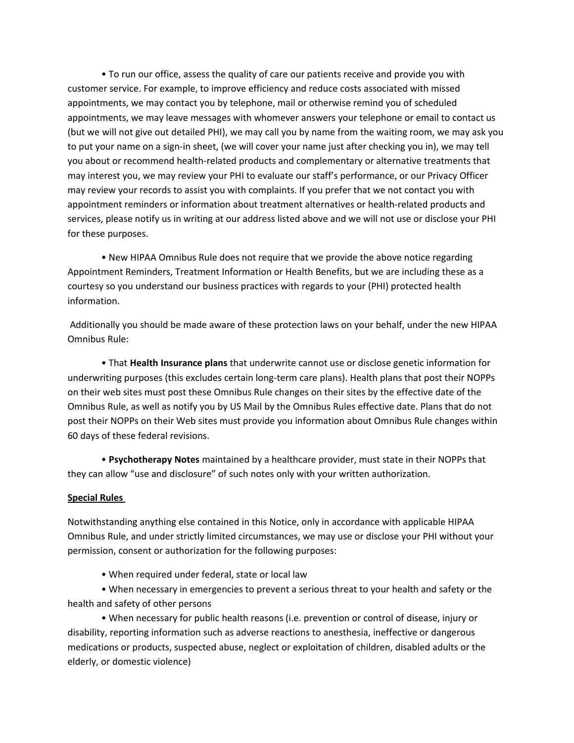• To run our office, assess the quality of care our patients receive and provide you with customer service. For example, to improve efficiency and reduce costs associated with missed appointments, we may contact you by telephone, mail or otherwise remind you of scheduled appointments, we may leave messages with whomever answers your telephone or email to contact us (but we will not give out detailed PHI), we may call you by name from the waiting room, we may ask you to put your name on a sign-in sheet, (we will cover your name just after checking you in), we may tell you about or recommend health-related products and complementary or alternative treatments that may interest you, we may review your PHI to evaluate our staff's performance, or our Privacy Officer may review your records to assist you with complaints. If you prefer that we not contact you with appointment reminders or information about treatment alternatives or health-related products and services, please notify us in writing at our address listed above and we will not use or disclose your PHI for these purposes.

• New HIPAA Omnibus Rule does not require that we provide the above notice regarding Appointment Reminders, Treatment Information or Health Benefits, but we are including these as a courtesy so you understand our business practices with regards to your (PHI) protected health information.

 Additionally you should be made aware of these protection laws on your behalf, under the new HIPAA Omnibus Rule:

• That **Health Insurance plans** that underwrite cannot use or disclose genetic information for underwriting purposes (this excludes certain long-term care plans). Health plans that post their NOPPs on their web sites must post these Omnibus Rule changes on their sites by the effective date of the Omnibus Rule, as well as notify you by US Mail by the Omnibus Rules effective date. Plans that do not post their NOPPs on their Web sites must provide you information about Omnibus Rule changes within 60 days of these federal revisions.

• **Psychotherapy Notes** maintained by a healthcare provider, must state in their NOPPs that they can allow "use and disclosure" of such notes only with your written authorization.

### **Special Rules**

Notwithstanding anything else contained in this Notice, only in accordance with applicable HIPAA Omnibus Rule, and under strictly limited circumstances, we may use or disclose your PHI without your permission, consent or authorization for the following purposes:

• When required under federal, state or local law

• When necessary in emergencies to prevent a serious threat to your health and safety or the health and safety of other persons

• When necessary for public health reasons (i.e. prevention or control of disease, injury or disability, reporting information such as adverse reactions to anesthesia, ineffective or dangerous medications or products, suspected abuse, neglect or exploitation of children, disabled adults or the elderly, or domestic violence)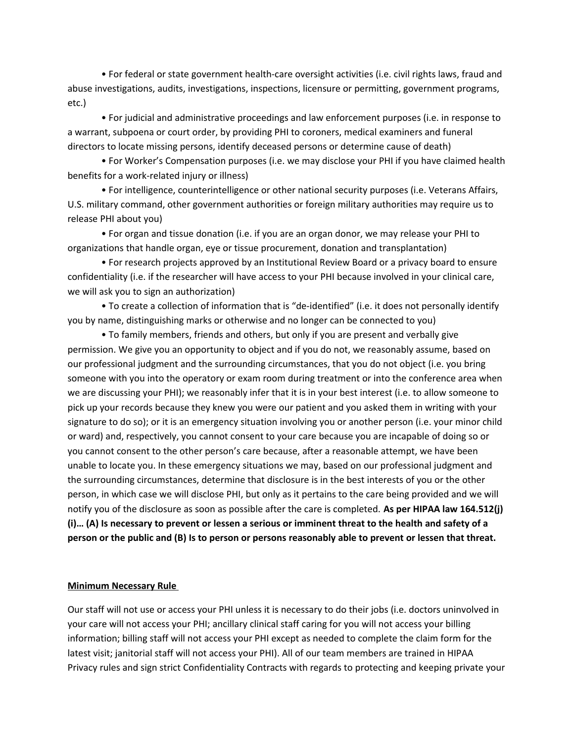• For federal or state government health-care oversight activities (i.e. civil rights laws, fraud and abuse investigations, audits, investigations, inspections, licensure or permitting, government programs, etc.)

• For judicial and administrative proceedings and law enforcement purposes (i.e. in response to a warrant, subpoena or court order, by providing PHI to coroners, medical examiners and funeral directors to locate missing persons, identify deceased persons or determine cause of death)

• For Worker's Compensation purposes (i.e. we may disclose your PHI if you have claimed health benefits for a work-related injury or illness)

• For intelligence, counterintelligence or other national security purposes (i.e. Veterans Affairs, U.S. military command, other government authorities or foreign military authorities may require us to release PHI about you)

• For organ and tissue donation (i.e. if you are an organ donor, we may release your PHI to organizations that handle organ, eye or tissue procurement, donation and transplantation)

• For research projects approved by an Institutional Review Board or a privacy board to ensure confidentiality (i.e. if the researcher will have access to your PHI because involved in your clinical care, we will ask you to sign an authorization)

• To create a collection of information that is "de-identified" (i.e. it does not personally identify you by name, distinguishing marks or otherwise and no longer can be connected to you)

• To family members, friends and others, but only if you are present and verbally give permission. We give you an opportunity to object and if you do not, we reasonably assume, based on our professional judgment and the surrounding circumstances, that you do not object (i.e. you bring someone with you into the operatory or exam room during treatment or into the conference area when we are discussing your PHI); we reasonably infer that it is in your best interest (i.e. to allow someone to pick up your records because they knew you were our patient and you asked them in writing with your signature to do so); or it is an emergency situation involving you or another person (i.e. your minor child or ward) and, respectively, you cannot consent to your care because you are incapable of doing so or you cannot consent to the other person's care because, after a reasonable attempt, we have been unable to locate you. In these emergency situations we may, based on our professional judgment and the surrounding circumstances, determine that disclosure is in the best interests of you or the other person, in which case we will disclose PHI, but only as it pertains to the care being provided and we will notify you of the disclosure as soon as possible after the care is completed. **As per HIPAA law 164.512(j) (i)… (A) Is necessary to prevent or lessen a serious or imminent threat to the health and safety of a person or the public and (B) Is to person or persons reasonably able to prevent or lessen that threat.**

#### **Minimum Necessary Rule**

Our staff will not use or access your PHI unless it is necessary to do their jobs (i.e. doctors uninvolved in your care will not access your PHI; ancillary clinical staff caring for you will not access your billing information; billing staff will not access your PHI except as needed to complete the claim form for the latest visit; janitorial staff will not access your PHI). All of our team members are trained in HIPAA Privacy rules and sign strict Confidentiality Contracts with regards to protecting and keeping private your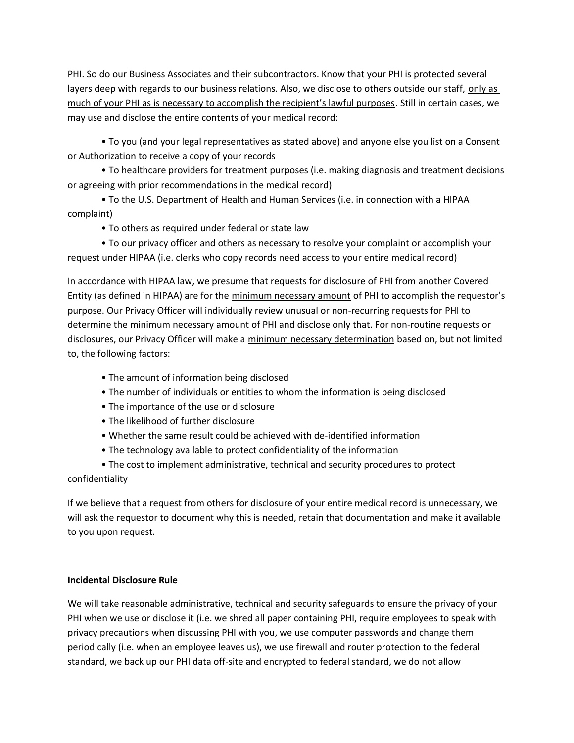PHI. So do our Business Associates and their subcontractors. Know that your PHI is protected several layers deep with regards to our business relations. Also, we disclose to others outside our staff, only as much of your PHI as is necessary to accomplish the recipient's lawful purposes. Still in certain cases, we may use and disclose the entire contents of your medical record:

• To you (and your legal representatives as stated above) and anyone else you list on a Consent or Authorization to receive a copy of your records

• To healthcare providers for treatment purposes (i.e. making diagnosis and treatment decisions or agreeing with prior recommendations in the medical record)

• To the U.S. Department of Health and Human Services (i.e. in connection with a HIPAA complaint)

• To others as required under federal or state law

• To our privacy officer and others as necessary to resolve your complaint or accomplish your request under HIPAA (i.e. clerks who copy records need access to your entire medical record)

In accordance with HIPAA law, we presume that requests for disclosure of PHI from another Covered Entity (as defined in HIPAA) are for the minimum necessary amount of PHI to accomplish the requestor's purpose. Our Privacy Officer will individually review unusual or non-recurring requests for PHI to determine the minimum necessary amount of PHI and disclose only that. For non-routine requests or disclosures, our Privacy Officer will make a minimum necessary determination based on, but not limited to, the following factors:

- The amount of information being disclosed
- The number of individuals or entities to whom the information is being disclosed
- The importance of the use or disclosure
- The likelihood of further disclosure
- Whether the same result could be achieved with de-identified information
- The technology available to protect confidentiality of the information
- The cost to implement administrative, technical and security procedures to protect

confidentiality

If we believe that a request from others for disclosure of your entire medical record is unnecessary, we will ask the requestor to document why this is needed, retain that documentation and make it available to you upon request.

### **Incidental Disclosure Rule**

We will take reasonable administrative, technical and security safeguards to ensure the privacy of your PHI when we use or disclose it (i.e. we shred all paper containing PHI, require employees to speak with privacy precautions when discussing PHI with you, we use computer passwords and change them periodically (i.e. when an employee leaves us), we use firewall and router protection to the federal standard, we back up our PHI data off-site and encrypted to federal standard, we do not allow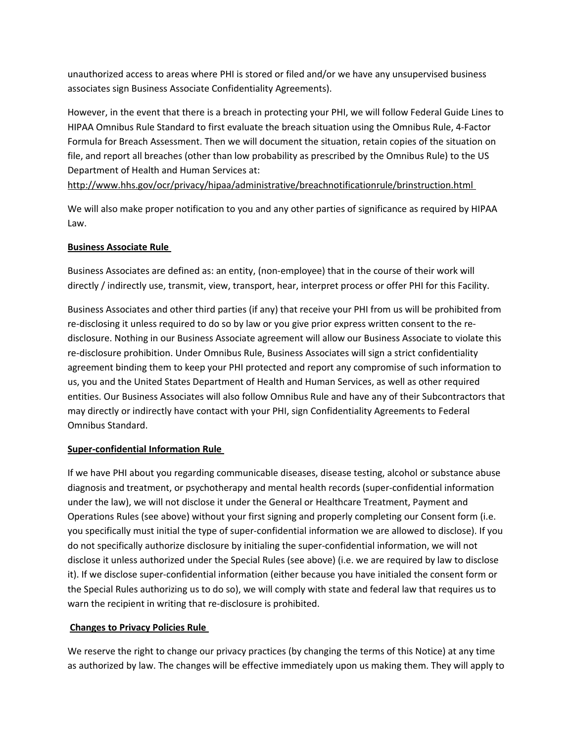unauthorized access to areas where PHI is stored or filed and/or we have any unsupervised business associates sign Business Associate Confidentiality Agreements).

However, in the event that there is a breach in protecting your PHI, we will follow Federal Guide Lines to HIPAA Omnibus Rule Standard to first evaluate the breach situation using the Omnibus Rule, 4-Factor Formula for Breach Assessment. Then we will document the situation, retain copies of the situation on file, and report all breaches (other than low probability as prescribed by the Omnibus Rule) to the US Department of Health and Human Services at:

http://www.hhs.gov/ocr/privacy/hipaa/administrative/breachnotificationrule/brinstruction.html

We will also make proper notification to you and any other parties of significance as required by HIPAA Law.

### **Business Associate Rule**

Business Associates are defined as: an entity, (non-employee) that in the course of their work will directly / indirectly use, transmit, view, transport, hear, interpret process or offer PHI for this Facility.

Business Associates and other third parties (if any) that receive your PHI from us will be prohibited from re-disclosing it unless required to do so by law or you give prior express written consent to the redisclosure. Nothing in our Business Associate agreement will allow our Business Associate to violate this re-disclosure prohibition. Under Omnibus Rule, Business Associates will sign a strict confidentiality agreement binding them to keep your PHI protected and report any compromise of such information to us, you and the United States Department of Health and Human Services, as well as other required entities. Our Business Associates will also follow Omnibus Rule and have any of their Subcontractors that may directly or indirectly have contact with your PHI, sign Confidentiality Agreements to Federal Omnibus Standard.

### **Super-confidential Information Rule**

If we have PHI about you regarding communicable diseases, disease testing, alcohol or substance abuse diagnosis and treatment, or psychotherapy and mental health records (super-confidential information under the law), we will not disclose it under the General or Healthcare Treatment, Payment and Operations Rules (see above) without your first signing and properly completing our Consent form (i.e. you specifically must initial the type of super-confidential information we are allowed to disclose). If you do not specifically authorize disclosure by initialing the super-confidential information, we will not disclose it unless authorized under the Special Rules (see above) (i.e. we are required by law to disclose it). If we disclose super-confidential information (either because you have initialed the consent form or the Special Rules authorizing us to do so), we will comply with state and federal law that requires us to warn the recipient in writing that re-disclosure is prohibited.

### **Changes to Privacy Policies Rule**

We reserve the right to change our privacy practices (by changing the terms of this Notice) at any time as authorized by law. The changes will be effective immediately upon us making them. They will apply to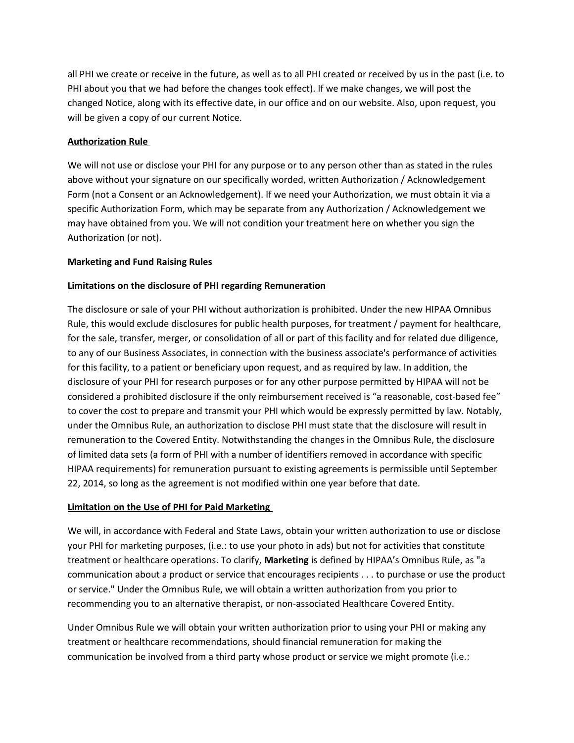all PHI we create or receive in the future, as well as to all PHI created or received by us in the past (i.e. to PHI about you that we had before the changes took effect). If we make changes, we will post the changed Notice, along with its effective date, in our office and on our website. Also, upon request, you will be given a copy of our current Notice.

### **Authorization Rule**

We will not use or disclose your PHI for any purpose or to any person other than as stated in the rules above without your signature on our specifically worded, written Authorization / Acknowledgement Form (not a Consent or an Acknowledgement). If we need your Authorization, we must obtain it via a specific Authorization Form, which may be separate from any Authorization / Acknowledgement we may have obtained from you. We will not condition your treatment here on whether you sign the Authorization (or not).

### **Marketing and Fund Raising Rules**

### **Limitations on the disclosure of PHI regarding Remuneration**

The disclosure or sale of your PHI without authorization is prohibited. Under the new HIPAA Omnibus Rule, this would exclude disclosures for public health purposes, for treatment / payment for healthcare, for the sale, transfer, merger, or consolidation of all or part of this facility and for related due diligence, to any of our Business Associates, in connection with the business associate's performance of activities for this facility, to a patient or beneficiary upon request, and as required by law. In addition, the disclosure of your PHI for research purposes or for any other purpose permitted by HIPAA will not be considered a prohibited disclosure if the only reimbursement received is "a reasonable, cost-based fee" to cover the cost to prepare and transmit your PHI which would be expressly permitted by law. Notably, under the Omnibus Rule, an authorization to disclose PHI must state that the disclosure will result in remuneration to the Covered Entity. Notwithstanding the changes in the Omnibus Rule, the disclosure of limited data sets (a form of PHI with a number of identifiers removed in accordance with specific HIPAA requirements) for remuneration pursuant to existing agreements is permissible until September 22, 2014, so long as the agreement is not modified within one year before that date.

### **Limitation on the Use of PHI for Paid Marketing**

We will, in accordance with Federal and State Laws, obtain your written authorization to use or disclose your PHI for marketing purposes, (i.e.: to use your photo in ads) but not for activities that constitute treatment or healthcare operations. To clarify, **Marketing** is defined by HIPAA's Omnibus Rule, as "a communication about a product or service that encourages recipients . . . to purchase or use the product or service." Under the Omnibus Rule, we will obtain a written authorization from you prior to recommending you to an alternative therapist, or non-associated Healthcare Covered Entity.

Under Omnibus Rule we will obtain your written authorization prior to using your PHI or making any treatment or healthcare recommendations, should financial remuneration for making the communication be involved from a third party whose product or service we might promote (i.e.: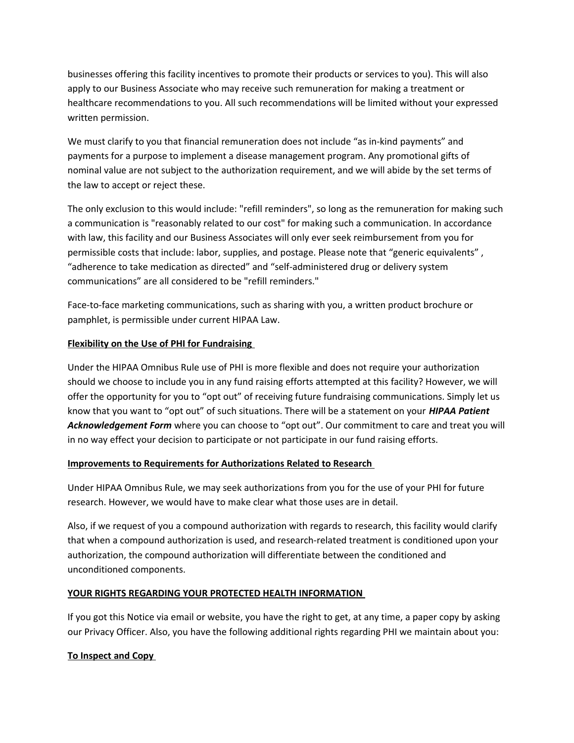businesses offering this facility incentives to promote their products or services to you). This will also apply to our Business Associate who may receive such remuneration for making a treatment or healthcare recommendations to you. All such recommendations will be limited without your expressed written permission.

We must clarify to you that financial remuneration does not include "as in-kind payments" and payments for a purpose to implement a disease management program. Any promotional gifts of nominal value are not subject to the authorization requirement, and we will abide by the set terms of the law to accept or reject these.

The only exclusion to this would include: "refill reminders", so long as the remuneration for making such a communication is "reasonably related to our cost" for making such a communication. In accordance with law, this facility and our Business Associates will only ever seek reimbursement from you for permissible costs that include: labor, supplies, and postage. Please note that "generic equivalents" , "adherence to take medication as directed" and "self-administered drug or delivery system communications" are all considered to be "refill reminders."

Face-to-face marketing communications, such as sharing with you, a written product brochure or pamphlet, is permissible under current HIPAA Law.

### **Flexibility on the Use of PHI for Fundraising**

Under the HIPAA Omnibus Rule use of PHI is more flexible and does not require your authorization should we choose to include you in any fund raising efforts attempted at this facility? However, we will offer the opportunity for you to "opt out" of receiving future fundraising communications. Simply let us know that you want to "opt out" of such situations. There will be a statement on your *HIPAA Patient Acknowledgement Form* where you can choose to "opt out". Our commitment to care and treat you will in no way effect your decision to participate or not participate in our fund raising efforts.

### **Improvements to Requirements for Authorizations Related to Research**

Under HIPAA Omnibus Rule, we may seek authorizations from you for the use of your PHI for future research. However, we would have to make clear what those uses are in detail.

Also, if we request of you a compound authorization with regards to research, this facility would clarify that when a compound authorization is used, and research-related treatment is conditioned upon your authorization, the compound authorization will differentiate between the conditioned and unconditioned components.

### **YOUR RIGHTS REGARDING YOUR PROTECTED HEALTH INFORMATION**

If you got this Notice via email or website, you have the right to get, at any time, a paper copy by asking our Privacy Officer. Also, you have the following additional rights regarding PHI we maintain about you:

### **To Inspect and Copy**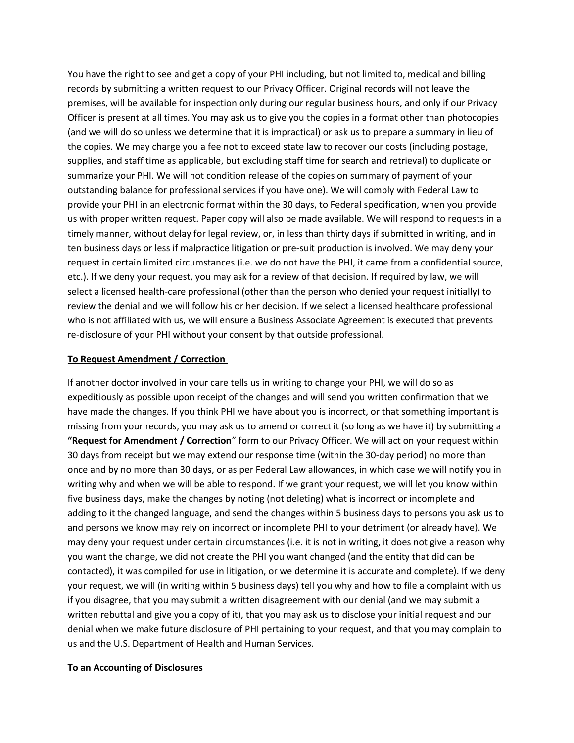You have the right to see and get a copy of your PHI including, but not limited to, medical and billing records by submitting a written request to our Privacy Officer. Original records will not leave the premises, will be available for inspection only during our regular business hours, and only if our Privacy Officer is present at all times. You may ask us to give you the copies in a format other than photocopies (and we will do so unless we determine that it is impractical) or ask us to prepare a summary in lieu of the copies. We may charge you a fee not to exceed state law to recover our costs (including postage, supplies, and staff time as applicable, but excluding staff time for search and retrieval) to duplicate or summarize your PHI. We will not condition release of the copies on summary of payment of your outstanding balance for professional services if you have one). We will comply with Federal Law to provide your PHI in an electronic format within the 30 days, to Federal specification, when you provide us with proper written request. Paper copy will also be made available. We will respond to requests in a timely manner, without delay for legal review, or, in less than thirty days if submitted in writing, and in ten business days or less if malpractice litigation or pre-suit production is involved. We may deny your request in certain limited circumstances (i.e. we do not have the PHI, it came from a confidential source, etc.). If we deny your request, you may ask for a review of that decision. If required by law, we will select a licensed health-care professional (other than the person who denied your request initially) to review the denial and we will follow his or her decision. If we select a licensed healthcare professional who is not affiliated with us, we will ensure a Business Associate Agreement is executed that prevents re-disclosure of your PHI without your consent by that outside professional.

#### **To Request Amendment / Correction**

If another doctor involved in your care tells us in writing to change your PHI, we will do so as expeditiously as possible upon receipt of the changes and will send you written confirmation that we have made the changes. If you think PHI we have about you is incorrect, or that something important is missing from your records, you may ask us to amend or correct it (so long as we have it) by submitting a **"Request for Amendment / Correction**" form to our Privacy Officer. We will act on your request within 30 days from receipt but we may extend our response time (within the 30-day period) no more than once and by no more than 30 days, or as per Federal Law allowances, in which case we will notify you in writing why and when we will be able to respond. If we grant your request, we will let you know within five business days, make the changes by noting (not deleting) what is incorrect or incomplete and adding to it the changed language, and send the changes within 5 business days to persons you ask us to and persons we know may rely on incorrect or incomplete PHI to your detriment (or already have). We may deny your request under certain circumstances (i.e. it is not in writing, it does not give a reason why you want the change, we did not create the PHI you want changed (and the entity that did can be contacted), it was compiled for use in litigation, or we determine it is accurate and complete). If we deny your request, we will (in writing within 5 business days) tell you why and how to file a complaint with us if you disagree, that you may submit a written disagreement with our denial (and we may submit a written rebuttal and give you a copy of it), that you may ask us to disclose your initial request and our denial when we make future disclosure of PHI pertaining to your request, and that you may complain to us and the U.S. Department of Health and Human Services.

#### **To an Accounting of Disclosures**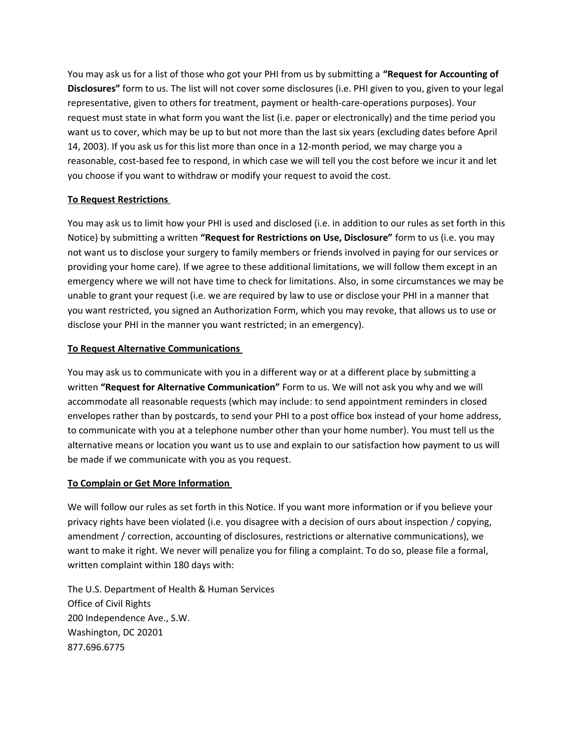You may ask us for a list of those who got your PHI from us by submitting a **"Request for Accounting of Disclosures"** form to us. The list will not cover some disclosures (i.e. PHI given to you, given to your legal representative, given to others for treatment, payment or health-care-operations purposes). Your request must state in what form you want the list (i.e. paper or electronically) and the time period you want us to cover, which may be up to but not more than the last six years (excluding dates before April 14, 2003). If you ask us for this list more than once in a 12-month period, we may charge you a reasonable, cost-based fee to respond, in which case we will tell you the cost before we incur it and let you choose if you want to withdraw or modify your request to avoid the cost.

### **To Request Restrictions**

You may ask us to limit how your PHI is used and disclosed (i.e. in addition to our rules as set forth in this Notice) by submitting a written **"Request for Restrictions on Use, Disclosure"** form to us (i.e. you may not want us to disclose your surgery to family members or friends involved in paying for our services or providing your home care). If we agree to these additional limitations, we will follow them except in an emergency where we will not have time to check for limitations. Also, in some circumstances we may be unable to grant your request (i.e. we are required by law to use or disclose your PHI in a manner that you want restricted, you signed an Authorization Form, which you may revoke, that allows us to use or disclose your PHI in the manner you want restricted; in an emergency).

### **To Request Alternative Communications**

You may ask us to communicate with you in a different way or at a different place by submitting a written **"Request for Alternative Communication"** Form to us. We will not ask you why and we will accommodate all reasonable requests (which may include: to send appointment reminders in closed envelopes rather than by postcards, to send your PHI to a post office box instead of your home address, to communicate with you at a telephone number other than your home number). You must tell us the alternative means or location you want us to use and explain to our satisfaction how payment to us will be made if we communicate with you as you request.

### **To Complain or Get More Information**

We will follow our rules as set forth in this Notice. If you want more information or if you believe your privacy rights have been violated (i.e. you disagree with a decision of ours about inspection / copying, amendment / correction, accounting of disclosures, restrictions or alternative communications), we want to make it right. We never will penalize you for filing a complaint. To do so, please file a formal, written complaint within 180 days with:

The U.S. Department of Health & Human Services Office of Civil Rights 200 Independence Ave., S.W. Washington, DC 20201 877.696.6775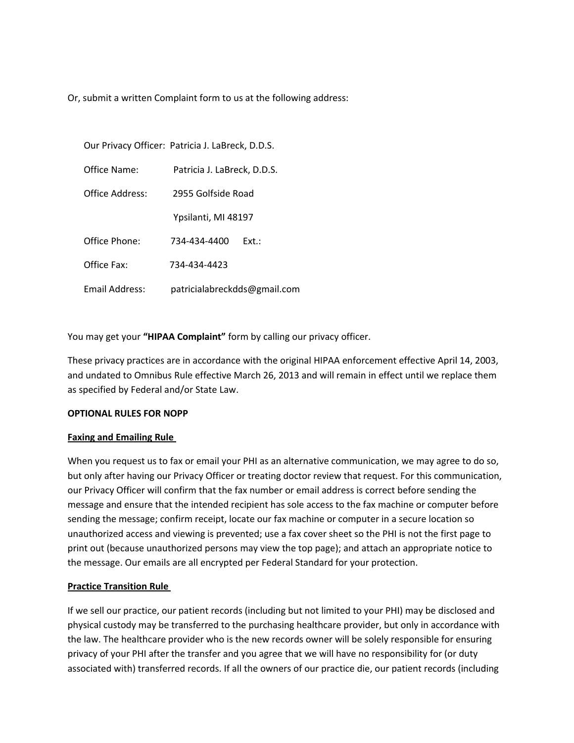Or, submit a written Complaint form to us at the following address:

Our Privacy Officer: Patricia J. LaBreck, D.D.S.

Office Name: Patricia J. LaBreck, D.D.S.

Office Address: 2955 Golfside Road

Ypsilanti, MI 48197

Office Phone: 734-434-4400 Ext.:

Office Fax: 734-434-4423

Email Address: patricialabreckdds@gmail.com

You may get your **"HIPAA Complaint"** form by calling our privacy officer.

These privacy practices are in accordance with the original HIPAA enforcement effective April 14, 2003, and undated to Omnibus Rule effective March 26, 2013 and will remain in effect until we replace them as specified by Federal and/or State Law.

### **OPTIONAL RULES FOR NOPP**

### **Faxing and Emailing Rule**

When you request us to fax or email your PHI as an alternative communication, we may agree to do so, but only after having our Privacy Officer or treating doctor review that request. For this communication, our Privacy Officer will confirm that the fax number or email address is correct before sending the message and ensure that the intended recipient has sole access to the fax machine or computer before sending the message; confirm receipt, locate our fax machine or computer in a secure location so unauthorized access and viewing is prevented; use a fax cover sheet so the PHI is not the first page to print out (because unauthorized persons may view the top page); and attach an appropriate notice to the message. Our emails are all encrypted per Federal Standard for your protection.

### **Practice Transition Rule**

If we sell our practice, our patient records (including but not limited to your PHI) may be disclosed and physical custody may be transferred to the purchasing healthcare provider, but only in accordance with the law. The healthcare provider who is the new records owner will be solely responsible for ensuring privacy of your PHI after the transfer and you agree that we will have no responsibility for (or duty associated with) transferred records. If all the owners of our practice die, our patient records (including